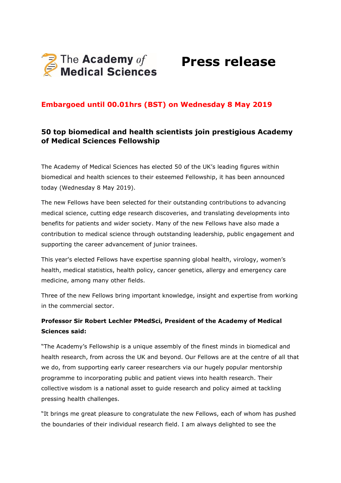

# **Press release**

### **Embargoed until 00.01hrs (BST) on Wednesday 8 May 2019**

### **50 top biomedical and health scientists join prestigious Academy of Medical Sciences Fellowship**

The Academy of Medical Sciences has elected 50 of the UK's leading figures within biomedical and health sciences to their esteemed Fellowship, it has been announced today (Wednesday 8 May 2019).

The new Fellows have been selected for their outstanding contributions to advancing medical science, cutting edge research discoveries, and translating developments into benefits for patients and wider society. Many of the new Fellows have also made a contribution to medical science through outstanding leadership, public engagement and supporting the career advancement of junior trainees.

This year's elected Fellows have expertise spanning global health, virology, women's health, medical statistics, health policy, cancer genetics, allergy and emergency care medicine, among many other fields.

Three of the new Fellows bring important knowledge, insight and expertise from working in the commercial sector.

### **Professor Sir Robert Lechler PMedSci, President of the Academy of Medical Sciences said:**

"The Academy's Fellowship is a unique assembly of the finest minds in biomedical and health research, from across the UK and beyond. Our Fellows are at the centre of all that we do, from supporting early career researchers via our hugely popular mentorship programme to incorporating public and patient views into health research. Their collective wisdom is a national asset to guide research and policy aimed at tackling pressing health challenges.

"It brings me great pleasure to congratulate the new Fellows, each of whom has pushed the boundaries of their individual research field. I am always delighted to see the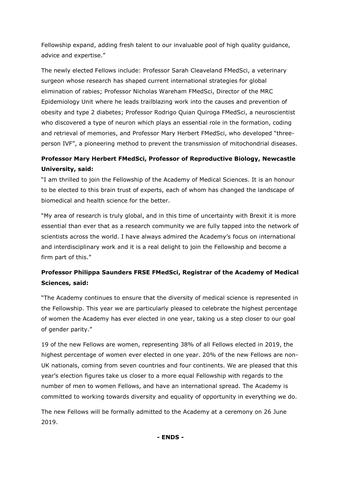Fellowship expand, adding fresh talent to our invaluable pool of high quality guidance, advice and expertise."

The newly elected Fellows include: Professor Sarah Cleaveland FMedSci, a veterinary surgeon whose research has shaped current international strategies for global elimination of rabies; Professor Nicholas Wareham FMedSci, Director of the MRC Epidemiology Unit where he leads trailblazing work into the causes and prevention of obesity and type 2 diabetes; Professor Rodrigo Quian Quiroga FMedSci, a neuroscientist who discovered a type of neuron which plays an essential role in the formation, coding and retrieval of memories, and Professor Mary Herbert FMedSci, who developed "threeperson IVF", a pioneering method to prevent the transmission of mitochondrial diseases.

## **Professor Mary Herbert FMedSci, Professor of Reproductive Biology, Newcastle University, said:**

"I am thrilled to join the Fellowship of the Academy of Medical Sciences. It is an honour to be elected to this brain trust of experts, each of whom has changed the landscape of biomedical and health science for the better.

"My area of research is truly global, and in this time of uncertainty with Brexit it is more essential than ever that as a research community we are fully tapped into the network of scientists across the world. I have always admired the Academy's focus on international and interdisciplinary work and it is a real delight to join the Fellowship and become a firm part of this."

## **Professor Philippa Saunders FRSE FMedSci, Registrar of the Academy of Medical Sciences, said:**

"The Academy continues to ensure that the diversity of medical science is represented in the Fellowship. This year we are particularly pleased to celebrate the highest percentage of women the Academy has ever elected in one year, taking us a step closer to our goal of gender parity."

19 of the new Fellows are women, representing 38% of all Fellows elected in 2019, the highest percentage of women ever elected in one year. 20% of the new Fellows are non-UK nationals, coming from seven countries and four continents. We are pleased that this year's election figures take us closer to a more equal Fellowship with regards to the number of men to women Fellows, and have an international spread. The Academy is committed to working towards diversity and equality of opportunity in everything we do.

The new Fellows will be formally admitted to the Academy at a ceremony on 26 June 2019.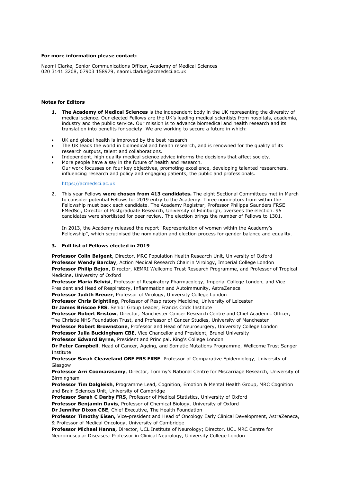#### **For more information please contact:**

Naomi Clarke, Senior Communications Officer, Academy of Medical Sciences 020 3141 3208, 07903 158979, naomi.clarke@acmedsci.ac.uk

#### **Notes for Editors**

- **1. The Academy of Medical Sciences** is the independent body in the UK representing the diversity of medical science. Our elected Fellows are the UK's leading medical scientists from hospitals, academia, industry and the public service. Our mission is to advance biomedical and health research and its translation into benefits for society. We are working to secure a future in which:
- UK and global health is improved by the best research.
- The UK leads the world in biomedical and health research, and is renowned for the quality of its research outputs, talent and collaborations.
- Independent, high quality medical science advice informs the decisions that affect society. More people have a say in the future of health and research. Our work focusses on four key objectives, promoting excellence, developing talented researchers,
- influencing research and policy and engaging patients, the public and professionals.

#### [https://acmedsci.ac.uk](https://acmedsci.ac.uk/)

2. This year Fellows **were chosen from 413 candidates.** The eight Sectional Committees met in March to consider potential Fellows for 2019 entry to the Academy. Three nominators from within the Fellowship must back each candidate. The Academy Registrar, Professor Philippa Saunders FRSE FMedSci, Director of Postgraduate Research, University of Edinburgh, oversees the election. 95 candidates were shortlisted for peer review. The election brings the number of Fellows to 1301.

In 2013, the Academy released the report "Representation of women within the Academy's Fellowship", which scrutinised the nomination and election process for gender balance and equality.

#### **3. Full list of Fellows elected in 2019**

**Professor Colin Baigent**, Director, MRC Population Health Research Unit, University of Oxford **Professor Wendy Barclay**, Action Medical Research Chair in Virology, Imperial College London **Professor Philip Bejon**, Director, KEMRI Wellcome Trust Research Programme, and Professor of Tropical Medicine, University of Oxford

**Professor Maria Belvisi**, Professor of Respiratory Pharmacology, Imperial College London, and Vice President and Head of Respiratory, Inflammation and Autoimmunity, AstraZeneca

**Professor Judith Breuer**, Professor of Virology, University College London

**Professor Chris Brightling**, Professor of Respiratory Medicine, University of Leicester

**Dr James Briscoe FRS**, Senior Group Leader, Francis Crick Institute

**Professor Robert Bristow**, Director, Manchester Cancer Research Centre and Chief Academic Officer, The Christie NHS Foundation Trust, and Professor of Cancer Studies, University of Manchester

**Professor Robert Brownstone**, Professor and Head of Neurosurgery, University College London

**Professor Julia Buckingham CBE**, Vice Chancellor and President, Brunel University

**Professor Edward Byrne**, President and Principal, King's College London

**Dr Peter Campbell**, Head of Cancer, Ageing, and Somatic Mutations Programme, Wellcome Trust Sanger Institute

**Professor Sarah Cleaveland OBE FRS FRSE**, Professor of Comparative Epidemiology, University of Glasgow

**Professor Arri Coomarasamy**, Director, Tommy's National Centre for Miscarriage Research, University of Birmingham

**Professor Tim Dalgleish**, Programme Lead, Cognition, Emotion & Mental Health Group, MRC Cognition and Brain Sciences Unit, University of Cambridge

**Professor Sarah C Darby FRS**, Professor of Medical Statistics, University of Oxford **Professor Benjamin Davis**, Professor of Chemical Biology, University of Oxford **Dr Jennifer Dixon CBE**, Chief Executive, The Health Foundation

**Professor Timothy Eisen,** Vice-president and Head of Oncology Early Clinical Development, AstraZeneca, & Professor of Medical Oncology, University of Cambridge

**Professor Michael Hanna,** Director, UCL Institute of Neurology; Director, UCL MRC Centre for Neuromuscular Diseases; Professor in Clinical Neurology, University College London